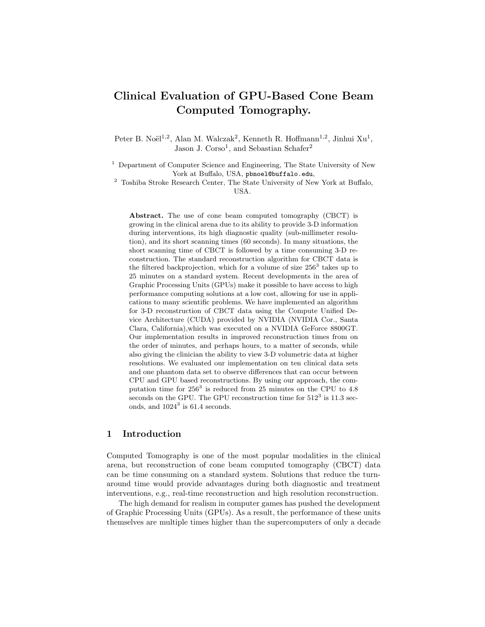# Clinical Evaluation of GPU-Based Cone Beam Computed Tomography.

Peter B. Noël<sup>1,2</sup>, Alan M. Walczak<sup>2</sup>, Kenneth R. Hoffmann<sup>1,2</sup>, Jinhui Xu<sup>1</sup>, Jason J. Corso<sup>1</sup>, and Sebastian Schafer<sup>2</sup>

<sup>1</sup> Department of Computer Science and Engineering, The State University of New York at Buffalo, USA, pbnoel@buffalo.edu,

<sup>2</sup> Toshiba Stroke Research Center, The State University of New York at Buffalo, USA.

Abstract. The use of cone beam computed tomography (CBCT) is growing in the clinical arena due to its ability to provide 3-D information during interventions, its high diagnostic quality (sub-millimeter resolution), and its short scanning times (60 seconds). In many situations, the short scanning time of CBCT is followed by a time consuming 3-D reconstruction. The standard reconstruction algorithm for CBCT data is the filtered backprojection, which for a volume of size  $256<sup>3</sup>$  takes up to 25 minutes on a standard system. Recent developments in the area of Graphic Processing Units (GPUs) make it possible to have access to high performance computing solutions at a low cost, allowing for use in applications to many scientific problems. We have implemented an algorithm for 3-D reconstruction of CBCT data using the Compute Unified Device Architecture (CUDA) provided by NVIDIA (NVIDIA Cor., Santa Clara, California),which was executed on a NVIDIA GeForce 8800GT. Our implementation results in improved reconstruction times from on the order of minutes, and perhaps hours, to a matter of seconds, while also giving the clinician the ability to view 3-D volumetric data at higher resolutions. We evaluated our implementation on ten clinical data sets and one phantom data set to observe differences that can occur between CPU and GPU based reconstructions. By using our approach, the computation time for  $256^3$  is reduced from 25 minutes on the CPU to 4.8 seconds on the GPU. The GPU reconstruction time for  $512^3$  is 11.3 seconds, and  $1024^3$  is 61.4 seconds.

## 1 Introduction

Computed Tomography is one of the most popular modalities in the clinical arena, but reconstruction of cone beam computed tomography (CBCT) data can be time consuming on a standard system. Solutions that reduce the turnaround time would provide advantages during both diagnostic and treatment interventions, e.g., real-time reconstruction and high resolution reconstruction.

The high demand for realism in computer games has pushed the development of Graphic Processing Units (GPUs). As a result, the performance of these units themselves are multiple times higher than the supercomputers of only a decade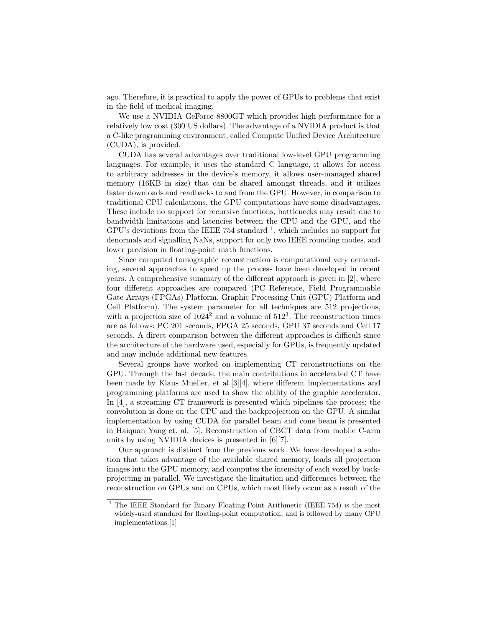ago. Therefore, it is practical to apply the power of GPUs to problems that exist in the field of medical imaging.

We use a NVIDIA GeForce 8800GT which provides high performance for a relatively low cost (300 US dollars). The advantage of a NVIDIA product is that a C-like programming environment, called Compute Unified Device Architecture (CUDA), is provided.

CUDA has several advantages over traditional low-level GPU programming languages. For example, it uses the standard C language, it allows for access to arbitrary addresses in the device's memory, it allows user-managed shared memory (16KB in size) that can be shared amongst threads, and it utilizes faster downloads and readbacks to and from the GPU. However, in comparison to traditional CPU calculations, the GPU computations have some disadvantages. These include no support for recursive functions, bottlenecks may result due to bandwidth limitations and latencies between the CPU and the GPU, and the GPU's deviations from the IEEE 754 standard  $<sup>1</sup>$ , which includes no support for</sup> denormals and signalling NaNs, support for only two IEEE rounding modes, and lower precision in floating-point math functions.

Since computed tomographic reconstruction is computational very demanding, several approaches to speed up the process have been developed in recent years. A comprehensive summary of the different approach is given in [2], where four different approaches are compared (PC Reference, Field Programmable Gate Arrays (FPGAs) Platform, Graphic Processing Unit (GPU) Platform and Cell Platform). The system parameter for all techniques are 512 projections, with a projection size of  $1024^2$  and a volume of  $512^3$ . The reconstruction times are as follows: PC 201 seconds, FPGA 25 seconds, GPU 37 seconds and Cell 17 seconds. A direct comparison between the different approaches is difficult since the architecture of the hardware used, especially for GPUs, is frequently updated and may include additional new features.

Several groups have worked on implementing CT reconstructions on the GPU. Through the last decade, the main contributions in accelerated CT have been made by Klaus Mueller, et al.[3][4], where different implementations and programming platforms are used to show the ability of the graphic accelerator. In [4], a streaming CT framework is presented which pipelines the process; the convolution is done on the CPU and the backprojection on the GPU. A similar implementation by using CUDA for parallel beam and cone beam is presented in Haiquan Yang et. al. [5]. Reconstruction of CBCT data from mobile C-arm units by using NVIDIA devices is presented in [6][7].

Our approach is distinct from the previous work. We have developed a solution that takes advantage of the available shared memory, loads all projection images into the GPU memory, and computes the intensity of each voxel by backprojecting in parallel. We investigate the limitation and differences between the reconstruction on GPUs and on CPUs, which most likely occur as a result of the

 $1$  The IEEE Standard for Binary Floating-Point Arithmetic (IEEE 754) is the most widely-used standard for floating-point computation, and is followed by many CPU implementations.[1]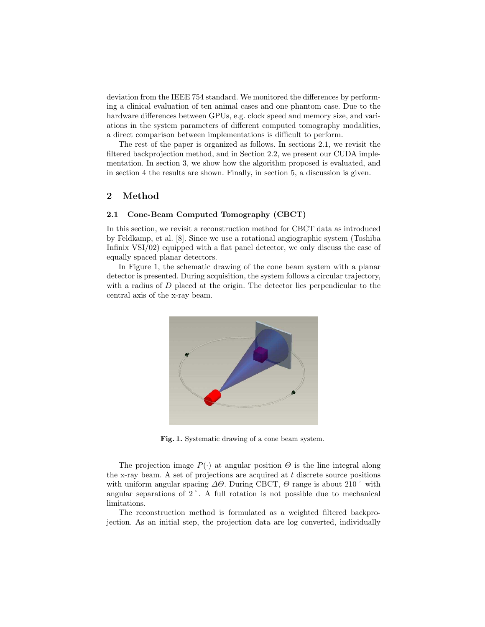deviation from the IEEE 754 standard. We monitored the differences by performing a clinical evaluation of ten animal cases and one phantom case. Due to the hardware differences between GPUs, e.g. clock speed and memory size, and variations in the system parameters of different computed tomography modalities, a direct comparison between implementations is difficult to perform.

The rest of the paper is organized as follows. In sections 2.1, we revisit the filtered backprojection method, and in Section 2.2, we present our CUDA implementation. In section 3, we show how the algorithm proposed is evaluated, and in section 4 the results are shown. Finally, in section 5, a discussion is given.

## 2 Method

#### 2.1 Cone-Beam Computed Tomography (CBCT)

In this section, we revisit a reconstruction method for CBCT data as introduced by Feldkamp, et al. [8]. Since we use a rotational angiographic system (Toshiba Infinix VSI/02) equipped with a flat panel detector, we only discuss the case of equally spaced planar detectors.

In Figure 1, the schematic drawing of the cone beam system with a planar detector is presented. During acquisition, the system follows a circular trajectory, with a radius of D placed at the origin. The detector lies perpendicular to the central axis of the x-ray beam.



Fig. 1. Systematic drawing of a cone beam system.

The projection image  $P(\cdot)$  at angular position  $\Theta$  is the line integral along the x-ray beam. A set of projections are acquired at  $t$  discrete source positions with uniform angular spacing  $\Delta\Theta$ . During CBCT,  $\Theta$  range is about 210° with angular separations of 2˚. A full rotation is not possible due to mechanical limitations.

The reconstruction method is formulated as a weighted filtered backprojection. As an initial step, the projection data are log converted, individually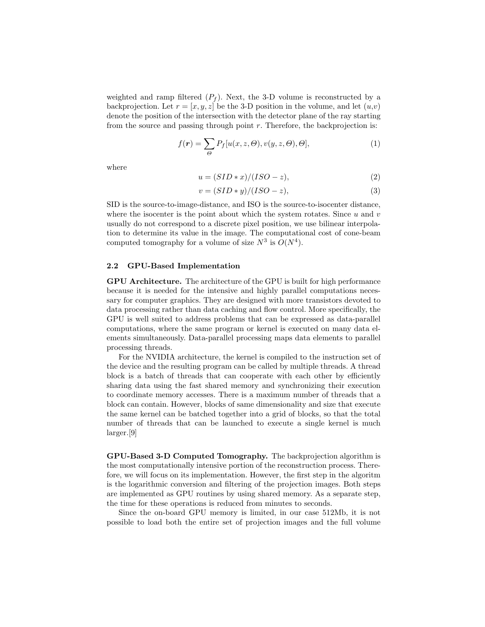weighted and ramp filtered  $(P_f)$ . Next, the 3-D volume is reconstructed by a backprojection. Let  $r = [x, y, z]$  be the 3-D position in the volume, and let  $(u,v)$ denote the position of the intersection with the detector plane of the ray starting from the source and passing through point  $r$ . Therefore, the backprojection is:

$$
f(\mathbf{r}) = \sum_{\Theta} P_f[u(x, z, \Theta), v(y, z, \Theta), \Theta],
$$
\n(1)

where

$$
u = (SID * x)/(ISO - z), \tag{2}
$$

$$
v = (SID*y)/(ISO-z), \tag{3}
$$

SID is the source-to-image-distance, and ISO is the source-to-isocenter distance, where the isocenter is the point about which the system rotates. Since  $u$  and  $v$ usually do not correspond to a discrete pixel position, we use bilinear interpolation to determine its value in the image. The computational cost of cone-beam computed tomography for a volume of size  $N^3$  is  $O(N^4)$ .

#### 2.2 GPU-Based Implementation

GPU Architecture. The architecture of the GPU is built for high performance because it is needed for the intensive and highly parallel computations necessary for computer graphics. They are designed with more transistors devoted to data processing rather than data caching and flow control. More specifically, the GPU is well suited to address problems that can be expressed as data-parallel computations, where the same program or kernel is executed on many data elements simultaneously. Data-parallel processing maps data elements to parallel processing threads.

For the NVIDIA architecture, the kernel is compiled to the instruction set of the device and the resulting program can be called by multiple threads. A thread block is a batch of threads that can cooperate with each other by efficiently sharing data using the fast shared memory and synchronizing their execution to coordinate memory accesses. There is a maximum number of threads that a block can contain. However, blocks of same dimensionality and size that execute the same kernel can be batched together into a grid of blocks, so that the total number of threads that can be launched to execute a single kernel is much larger.[9]

GPU-Based 3-D Computed Tomography. The backprojection algorithm is the most computationally intensive portion of the reconstruction process. Therefore, we will focus on its implementation. However, the first step in the algoritm is the logarithmic conversion and filtering of the projection images. Both steps are implemented as GPU routines by using shared memory. As a separate step, the time for these operations is reduced from minutes to seconds.

Since the on-board GPU memory is limited, in our case 512Mb, it is not possible to load both the entire set of projection images and the full volume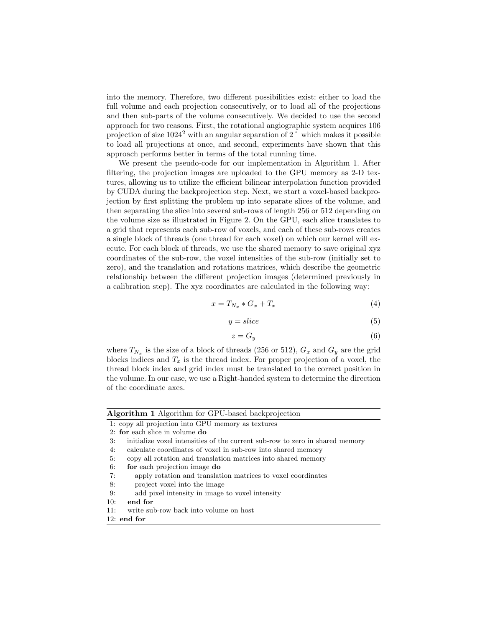into the memory. Therefore, two different possibilities exist: either to load the full volume and each projection consecutively, or to load all of the projections and then sub-parts of the volume consecutively. We decided to use the second approach for two reasons. First, the rotational angiographic system acquires 106 projection of size  $1024^2$  with an angular separation of 2 $\degree$  which makes it possible to load all projections at once, and second, experiments have shown that this approach performs better in terms of the total running time.

We present the pseudo-code for our implementation in Algorithm 1. After filtering, the projection images are uploaded to the GPU memory as 2-D textures, allowing us to utilize the efficient bilinear interpolation function provided by CUDA during the backprojection step. Next, we start a voxel-based backprojection by first splitting the problem up into separate slices of the volume, and then separating the slice into several sub-rows of length 256 or 512 depending on the volume size as illustrated in Figure 2. On the GPU, each slice translates to a grid that represents each sub-row of voxels, and each of these sub-rows creates a single block of threads (one thread for each voxel) on which our kernel will execute. For each block of threads, we use the shared memory to save original xyz coordinates of the sub-row, the voxel intensities of the sub-row (initially set to zero), and the translation and rotations matrices, which describe the geometric relationship between the different projection images (determined previously in a calibration step). The xyz coordinates are calculated in the following way:

$$
x = T_{N_x} * G_x + T_x \tag{4}
$$

$$
y = slice
$$
 (5)

$$
z = G_y \tag{6}
$$

where  $T_{N_x}$  is the size of a block of threads (256 or 512),  $G_x$  and  $G_y$  are the grid blocks indices and  $T_x$  is the thread index. For proper projection of a voxel, the thread block index and grid index must be translated to the correct position in the volume. In our case, we use a Right-handed system to determine the direction of the coordinate axes.

| <b>Algorithm 1</b> Algorithm for GPU-based backprojection |                                                                              |  |  |  |  |  |
|-----------------------------------------------------------|------------------------------------------------------------------------------|--|--|--|--|--|
|                                                           | 1: copy all projection into GPU memory as textures                           |  |  |  |  |  |
|                                                           | 2: for each slice in volume $d\mathbf{o}$                                    |  |  |  |  |  |
| 3:                                                        | initialize voxel intensities of the current sub-row to zero in shared memory |  |  |  |  |  |
| 4:                                                        | calculate coordinates of voxel in sub-row into shared memory                 |  |  |  |  |  |
| 5:                                                        | copy all rotation and translation matrices into shared memory                |  |  |  |  |  |
| 6:                                                        | for each projection image do                                                 |  |  |  |  |  |
| 7:                                                        | apply rotation and translation matrices to voxel coordinates                 |  |  |  |  |  |
| 8:                                                        | project voxel into the image                                                 |  |  |  |  |  |
| 9:                                                        | add pixel intensity in image to voxel intensity                              |  |  |  |  |  |
| 10:                                                       | end for                                                                      |  |  |  |  |  |
| 11:                                                       | write sub-row back into volume on host                                       |  |  |  |  |  |
|                                                           | $12:$ end for                                                                |  |  |  |  |  |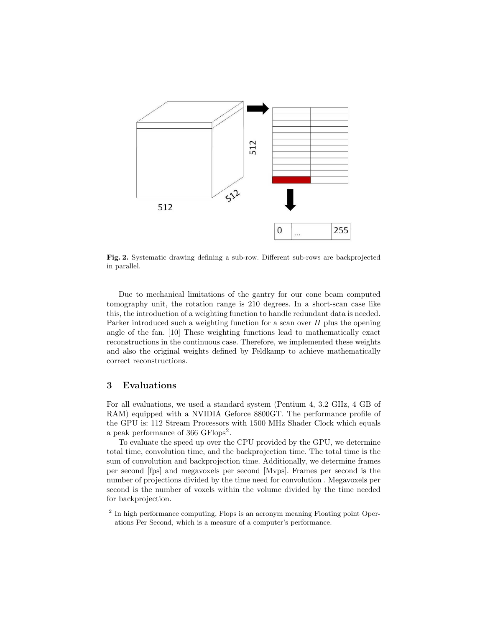

Fig. 2. Systematic drawing defining a sub-row. Different sub-rows are backprojected in parallel.

Due to mechanical limitations of the gantry for our cone beam computed tomography unit, the rotation range is 210 degrees. In a short-scan case like this, the introduction of a weighting function to handle redundant data is needed. Parker introduced such a weighting function for a scan over  $\Pi$  plus the opening angle of the fan. [10] These weighting functions lead to mathematically exact reconstructions in the continuous case. Therefore, we implemented these weights and also the original weights defined by Feldkamp to achieve mathematically correct reconstructions.

### 3 Evaluations

For all evaluations, we used a standard system (Pentium 4, 3.2 GHz, 4 GB of RAM) equipped with a NVIDIA Geforce 8800GT. The performance profile of the GPU is: 112 Stream Processors with 1500 MHz Shader Clock which equals a peak performance of 366 GFlops<sup>2</sup>.

To evaluate the speed up over the CPU provided by the GPU, we determine total time, convolution time, and the backprojection time. The total time is the sum of convolution and backprojection time. Additionally, we determine frames per second [fps] and megavoxels per second [Mvps]. Frames per second is the number of projections divided by the time need for convolution . Megavoxels per second is the number of voxels within the volume divided by the time needed for backprojection.

<sup>&</sup>lt;sup>2</sup> In high performance computing, Flops is an acronym meaning Floating point Operations Per Second, which is a measure of a computer's performance.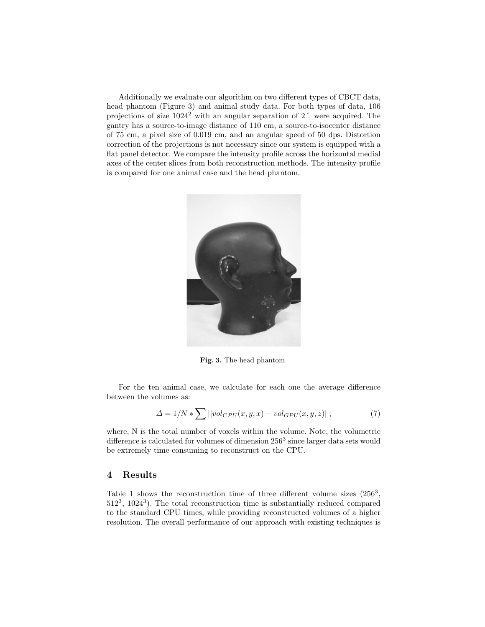Additionally we evaluate our algorithm on two different types of CBCT data, head phantom (Figure 3) and animal study data. For both types of data, 106 projections of size 1024<sup>2</sup> with an angular separation of 2˚ were acquired. The gantry has a source-to-image distance of 110 cm, a source-to-isocenter distance of 75 cm, a pixel size of 0.019 cm, and an angular speed of 50 dps. Distortion correction of the projections is not necessary since our system is equipped with a flat panel detector. We compare the intensity profile across the horizontal medial axes of the center slices from both reconstruction methods. The intensity profile is compared for one animal case and the head phantom.



Fig. 3. The head phantom

For the ten animal case, we calculate for each one the average difference between the volumes as:

$$
\Delta = 1/N * \sum ||vol_{CPU}(x, y, x) - vol_{GPU}(x, y, z)||,
$$
\n(7)

where, N is the total number of voxels within the volume. Note, the volumetric difference is calculated for volumes of dimension  $256^3$  since larger data sets would be extremely time consuming to reconstruct on the CPU.

### 4 Results

Table 1 shows the reconstruction time of three different volume sizes  $(256^3,$ 512<sup>3</sup> , 1024<sup>3</sup> ). The total reconstruction time is substantially reduced compared to the standard CPU times, while providing reconstructed volumes of a higher resolution. The overall performance of our approach with existing techniques is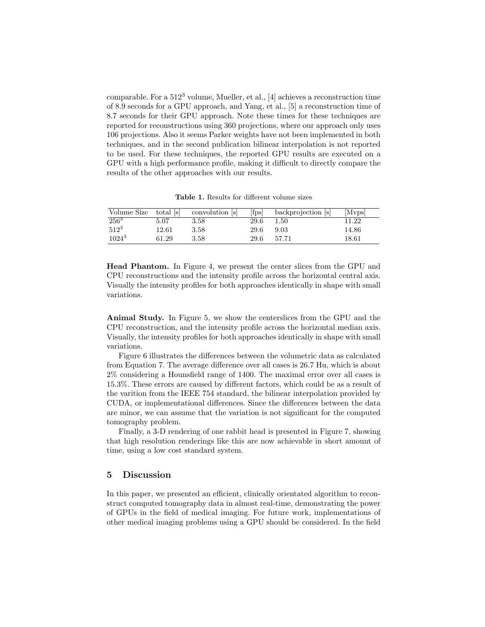comparable. For a  $512<sup>3</sup>$  volume, Mueller, et al., [4] achieves a reconstruction time of 8.9 seconds for a GPU approach, and Yang, et al., [5] a reconstruction time of 8.7 seconds for their GPU approach. Note these times for these techniques are reported for reconstructions using 360 projections, where our approach only uses 106 projections. Also it seems Parker weights have not been implemented in both techniques, and in the second publication bilinear interpolation is not reported to be used. For these techniques, the reported GPU results are executed on a GPU with a high performance profile, making it difficult to directly compare the results of the other approaches with our results.

Table 1. Results for different volume sizes

| Volume Size | total [s] | convolution [s] | $[f_{\rm DS}]$ | backprojection [s] | [Mvps] |
|-------------|-----------|-----------------|----------------|--------------------|--------|
| $256^3$     | 5.07      | 3.58            | 29.6           | 1.50               | 11.22  |
| $512^3$     | 12.61     | 3.58            | 29.6           | 9.03               | 14.86  |
| $1024^3$    | 61.29     | 3.58            | 29.6           | 57.71              | 18.61  |

Head Phantom. In Figure 4, we present the center slices from the GPU and CPU reconstructions and the intensity profile across the horizontal central axis. Visually the intensity profiles for both approaches identically in shape with small variations.

Animal Study. In Figure 5, we show the centerslices from the GPU and the CPU reconstruction, and the intensity profile across the horizontal median axis. Visually, the intensity profiles for both approaches identically in shape with small variations.

Figure 6 illustrates the differences between the volumetric data as calculated from Equation 7. The average difference over all cases is 26.7 Hu, which is about 2% considering a Hounsfield range of 1400. The maximal error over all cases is 15.3%. These errors are caused by different factors, which could be as a result of the varition from the IEEE 754 standard, the bilinear interpolation provided by CUDA, or implementational differences. Since the differences between the data are minor, we can assume that the variation is not significant for the computed tomography problem.

Finally, a 3-D rendering of one rabbit head is presented in Figure 7, showing that high resolution renderings like this are now achievable in short amount of time, using a low cost standard system.

#### 5 Discussion

In this paper, we presented an efficient, clinically orientated algorithm to reconstruct computed tomography data in almost real-time, demonstrating the power of GPUs in the field of medical imaging. For future work, implementations of other medical imaging problems using a GPU should be considered. In the field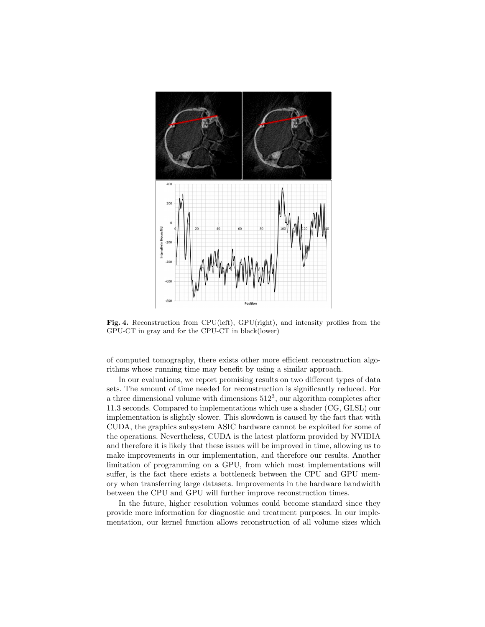

Fig. 4. Reconstruction from CPU(left), GPU(right), and intensity profiles from the GPU-CT in gray and for the CPU-CT in black(lower)

of computed tomography, there exists other more efficient reconstruction algorithms whose running time may benefit by using a similar approach.

In our evaluations, we report promising results on two different types of data sets. The amount of time needed for reconstruction is significantly reduced. For a three dimensional volume with dimensions  $512^3$ , our algorithm completes after 11.3 seconds. Compared to implementations which use a shader (CG, GLSL) our implementation is slightly slower. This slowdown is caused by the fact that with CUDA, the graphics subsystem ASIC hardware cannot be exploited for some of the operations. Nevertheless, CUDA is the latest platform provided by NVIDIA and therefore it is likely that these issues will be improved in time, allowing us to make improvements in our implementation, and therefore our results. Another limitation of programming on a GPU, from which most implementations will suffer, is the fact there exists a bottleneck between the CPU and GPU memory when transferring large datasets. Improvements in the hardware bandwidth between the CPU and GPU will further improve reconstruction times.

In the future, higher resolution volumes could become standard since they provide more information for diagnostic and treatment purposes. In our implementation, our kernel function allows reconstruction of all volume sizes which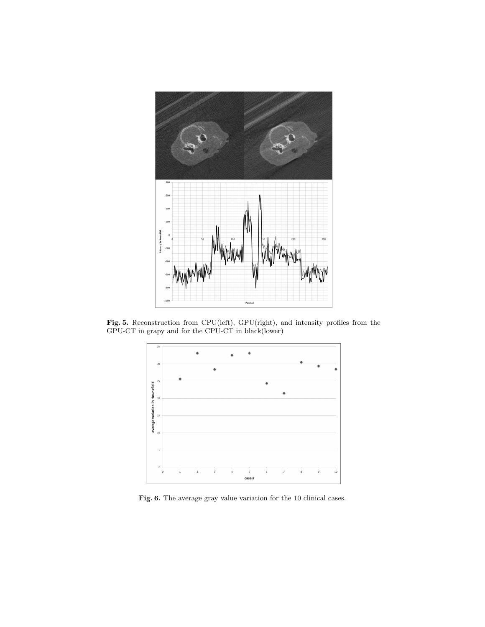

Fig. 5. Reconstruction from CPU(left), GPU(right), and intensity profiles from the GPU-CT in grapy and for the CPU-CT in black(lower)



Fig. 6. The average gray value variation for the 10 clinical cases.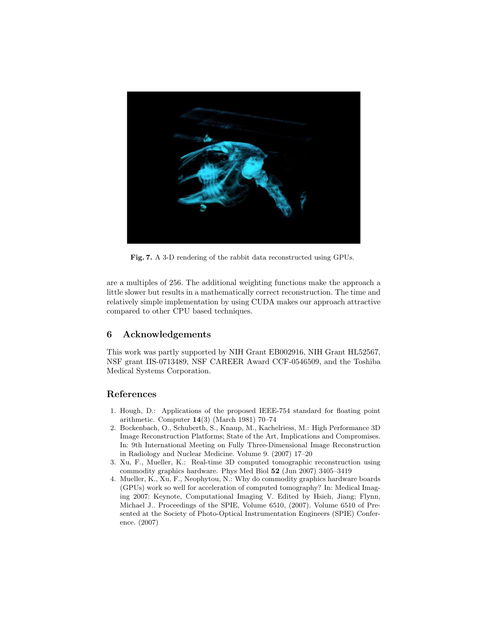

Fig. 7. A 3-D rendering of the rabbit data reconstructed using GPUs.

are a multiples of 256. The additional weighting functions make the approach a little slower but results in a mathematically correct reconstruction. The time and relatively simple implementation by using CUDA makes our approach attractive compared to other CPU based techniques.

### 6 Acknowledgements

This work was partly supported by NIH Grant EB002916, NIH Grant HL52567, NSF grant IIS-0713489, NSF CAREER Award CCF-0546509, and the Toshiba Medical Systems Corporation.

## References

- 1. Hough, D.: Applications of the proposed IEEE-754 standard for floating point arithmetic. Computer 14(3) (March 1981) 70–74
- 2. Bockenbach, O., Schuberth, S., Knaup, M., Kachelriess, M.: High Performance 3D Image Reconstruction Platforms; State of the Art, Implications and Compromises. In: 9th International Meeting on Fully Three-Dimensional Image Reconstruction in Radiology and Nuclear Medicine. Volume 9. (2007) 17–20
- 3. Xu, F., Mueller, K.: Real-time 3D computed tomographic reconstruction using commodity graphics hardware. Phys Med Biol 52 (Jun 2007) 3405–3419
- 4. Mueller, K., Xu, F., Neophytou, N.: Why do commodity graphics hardware boards (GPUs) work so well for acceleration of computed tomography? In: Medical Imaging 2007: Keynote, Computational Imaging V. Edited by Hsieh, Jiang; Flynn, Michael J.. Proceedings of the SPIE, Volume 6510, (2007). Volume 6510 of Presented at the Society of Photo-Optical Instrumentation Engineers (SPIE) Conference. (2007)